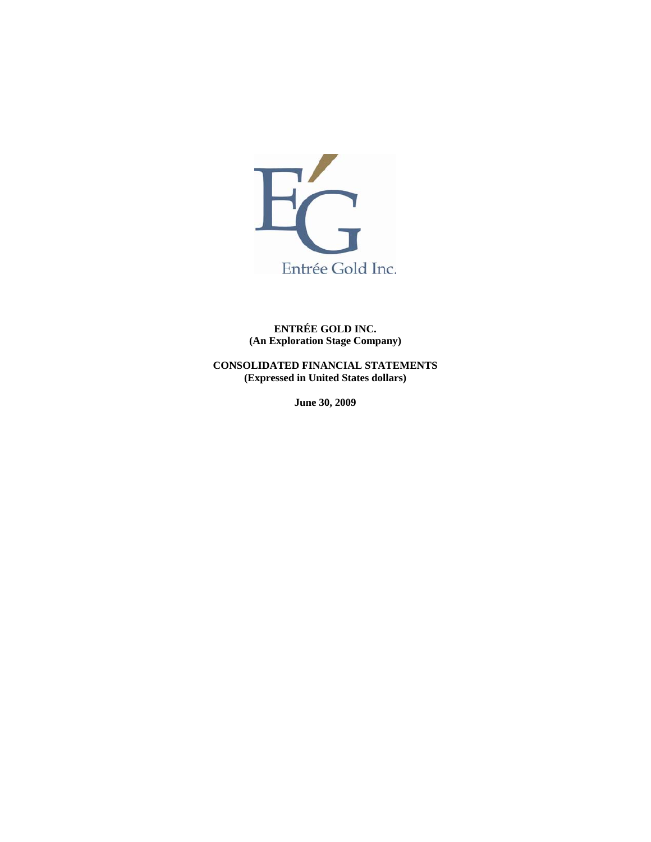

**ENTRÉE GOLD INC. (An Exploration Stage Company)** 

**CONSOLIDATED FINANCIAL STATEMENTS (Expressed in United States dollars)** 

**June 30, 2009**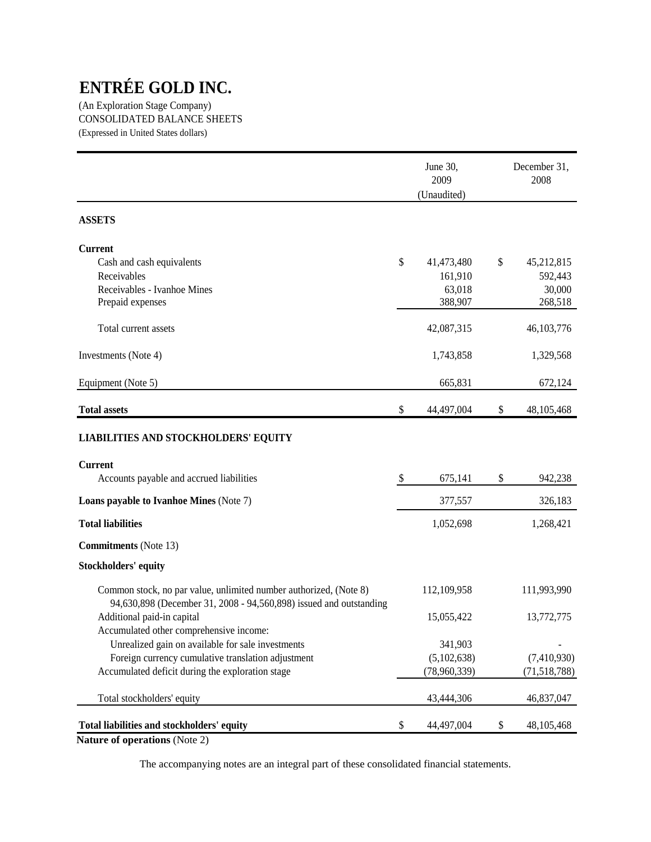(An Exploration Stage Company) CONSOLIDATED BALANCE SHEETS (Expressed in United States dollars)

|                                                                                                                                         | June 30,<br>2009<br>(Unaudited) | December 31,<br>2008 |
|-----------------------------------------------------------------------------------------------------------------------------------------|---------------------------------|----------------------|
| <b>ASSETS</b>                                                                                                                           |                                 |                      |
| <b>Current</b>                                                                                                                          |                                 |                      |
| Cash and cash equivalents                                                                                                               | \$<br>41,473,480                | \$<br>45,212,815     |
| Receivables                                                                                                                             | 161,910                         | 592,443              |
| Receivables - Ivanhoe Mines<br>Prepaid expenses                                                                                         | 63,018<br>388,907               | 30,000<br>268,518    |
| Total current assets                                                                                                                    | 42,087,315                      | 46, 103, 776         |
| Investments (Note 4)                                                                                                                    | 1,743,858                       | 1,329,568            |
| Equipment (Note 5)                                                                                                                      | 665,831                         | 672,124              |
| <b>Total assets</b>                                                                                                                     | \$<br>44,497,004                | \$<br>48, 105, 468   |
| <b>LIABILITIES AND STOCKHOLDERS' EQUITY</b>                                                                                             |                                 |                      |
| <b>Current</b>                                                                                                                          |                                 |                      |
| Accounts payable and accrued liabilities                                                                                                | \$<br>675,141                   | \$<br>942,238        |
| <b>Loans payable to Ivanhoe Mines (Note 7)</b>                                                                                          | 377,557                         | 326,183              |
| <b>Total liabilities</b>                                                                                                                | 1,052,698                       | 1,268,421            |
| <b>Commitments</b> (Note 13)                                                                                                            |                                 |                      |
| <b>Stockholders' equity</b>                                                                                                             |                                 |                      |
| Common stock, no par value, unlimited number authorized, (Note 8)<br>94,630,898 (December 31, 2008 - 94,560,898) issued and outstanding | 112,109,958                     | 111,993,990          |
| Additional paid-in capital<br>Accumulated other comprehensive income:                                                                   | 15,055,422                      | 13,772,775           |
| Unrealized gain on available for sale investments                                                                                       | 341,903                         |                      |
| Foreign currency cumulative translation adjustment                                                                                      | (5,102,638)                     | (7,410,930)          |
| Accumulated deficit during the exploration stage                                                                                        | (78,960,339)                    | (71, 518, 788)       |
| Total stockholders' equity                                                                                                              | 43,444,306                      | 46,837,047           |
| Total liabilities and stockholders' equity                                                                                              | \$<br>44,497,004                | \$<br>48, 105, 468   |

**Nature of operations** (Note 2)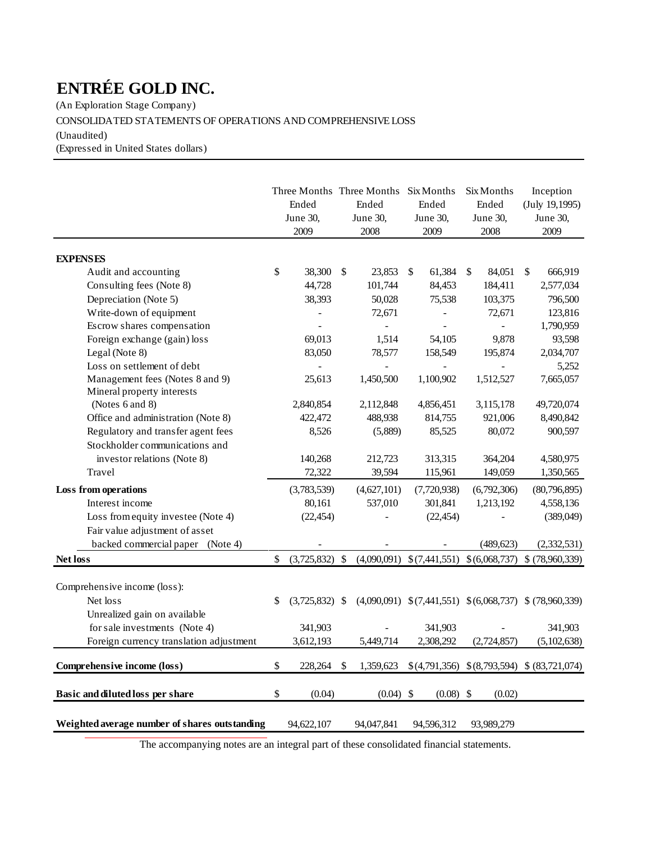(An Exploration Stage Company)

# CONSOLIDATED STATEMENTS OF OPERATIONS AND COMPREHENSIVE LOSS

(Unaudited)

(Expressed in United States dollars)

|                                               | Ended<br>June 30,<br>2009 |    | Three Months Three Months Six Months<br>Ended<br>June 30,<br>2008 | Ended<br>June 30,<br>2009 | Six Months<br>Ended<br>June 30,<br>2008 | Inception<br>(July 19,1995)<br>June 30,<br>2009          |
|-----------------------------------------------|---------------------------|----|-------------------------------------------------------------------|---------------------------|-----------------------------------------|----------------------------------------------------------|
|                                               |                           |    |                                                                   |                           |                                         |                                                          |
| <b>EXPENSES</b>                               |                           |    |                                                                   |                           |                                         |                                                          |
| Audit and accounting                          | \$<br>38,300              | \$ | 23,853                                                            | \$<br>61,384              | \$<br>84,051                            | \$<br>666,919                                            |
| Consulting fees (Note 8)                      | 44,728                    |    | 101,744                                                           | 84,453                    | 184,411                                 | 2,577,034                                                |
| Depreciation (Note 5)                         | 38,393                    |    | 50,028                                                            | 75,538                    | 103,375                                 | 796,500                                                  |
| Write-down of equipment                       |                           |    | 72,671                                                            |                           | 72,671                                  | 123,816                                                  |
| Escrow shares compensation                    |                           |    |                                                                   |                           | 9,878                                   | 1,790,959                                                |
| Foreign exchange (gain) loss                  | 69,013                    |    | 1,514                                                             | 54,105                    |                                         | 93,598                                                   |
| Legal (Note 8)<br>Loss on settlement of debt  | 83,050                    |    | 78,577                                                            | 158,549                   | 195,874                                 | 2,034,707<br>5,252                                       |
| Management fees (Notes 8 and 9)               | 25,613                    |    | 1,450,500                                                         | 1,100,902                 | 1,512,527                               | 7,665,057                                                |
| Mineral property interests                    |                           |    |                                                                   |                           |                                         |                                                          |
| (Notes 6 and 8)                               | 2,840,854                 |    | 2,112,848                                                         | 4,856,451                 | 3,115,178                               | 49,720,074                                               |
| Office and administration (Note 8)            | 422,472                   |    | 488,938                                                           | 814,755                   | 921,006                                 | 8,490,842                                                |
| Regulatory and transfer agent fees            | 8,526                     |    | (5,889)                                                           | 85,525                    | 80,072                                  | 900,597                                                  |
| Stockholder communications and                |                           |    |                                                                   |                           |                                         |                                                          |
| investor relations (Note 8)                   | 140,268                   |    | 212,723                                                           | 313,315                   | 364,204                                 | 4,580,975                                                |
| Travel                                        | 72,322                    |    | 39,594                                                            | 115,961                   | 149,059                                 | 1,350,565                                                |
| Loss from operations                          | (3,783,539)               |    | (4,627,101)                                                       | (7,720,938)               | (6,792,306)                             | (80,796,895)                                             |
| Interest income                               | 80,161                    |    | 537,010                                                           | 301,841                   | 1,213,192                               | 4,558,136                                                |
| Loss from equity investee (Note 4)            | (22, 454)                 |    |                                                                   | (22, 454)                 |                                         | (389,049)                                                |
| Fair value adjustment of asset                |                           |    |                                                                   |                           |                                         |                                                          |
| backed commercial paper (Note 4)              |                           |    |                                                                   |                           | (489, 623)                              | (2,332,531)                                              |
|                                               | \$<br>$(3,725,832)$ \$    |    | $(4,090,091)$ \$ $(7,441,551)$ \$ $(6,068,737)$ \$ $(78,960,339)$ |                           |                                         |                                                          |
| <b>Net loss</b>                               |                           |    |                                                                   |                           |                                         |                                                          |
| Comprehensive income (loss):                  |                           |    |                                                                   |                           |                                         |                                                          |
| Net loss                                      | \$<br>$(3,725,832)$ \$    |    |                                                                   |                           |                                         | $(4,090,091)$ \$(7,441,551) \$(6,068,737) \$(78,960,339) |
| Unrealized gain on available                  |                           |    |                                                                   |                           |                                         |                                                          |
| for sale investments (Note 4)                 | 341,903                   |    |                                                                   | 341,903                   |                                         | 341,903                                                  |
| Foreign currency translation adjustment       | 3,612,193                 |    | 5,449,714                                                         | 2,308,292                 | (2,724,857)                             | (5,102,638)                                              |
|                                               |                           |    |                                                                   |                           |                                         |                                                          |
| Comprehensive income (loss)                   | \$<br>228,264             | -S | 1,359,623                                                         |                           |                                         | $$(4,791,356) \$(8,793,594) \$(83,721,074)$              |
|                                               |                           |    |                                                                   |                           |                                         |                                                          |
| Basic and diluted loss per share              | \$<br>(0.04)              |    | $(0.04)$ \$                                                       | $(0.08)$ \$               | (0.02)                                  |                                                          |
| Weighted average number of shares outstanding | 94,622,107                |    | 94,047,841                                                        | 94,596,312                | 93,989,279                              |                                                          |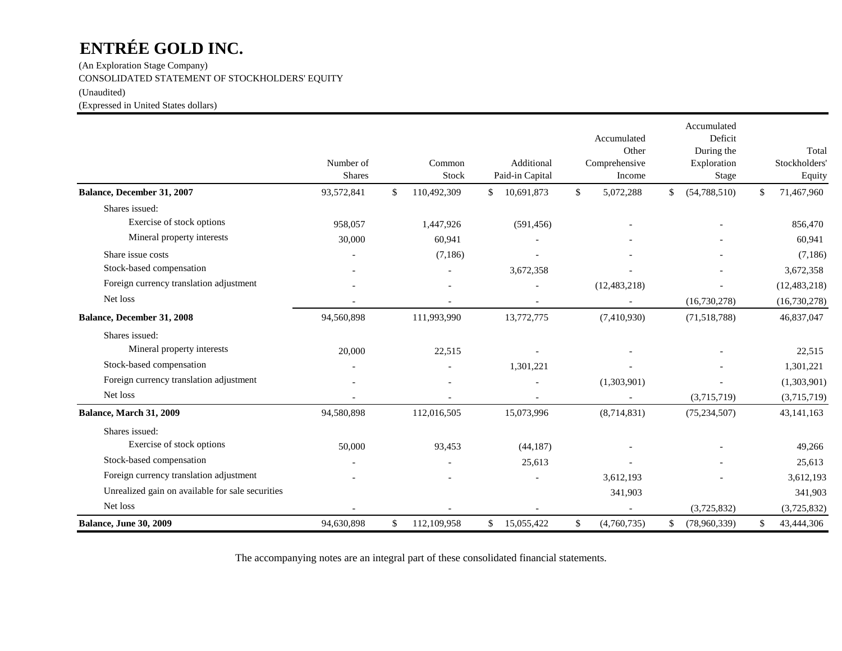(An Exploration Stage Company) CONSOLIDATED STATEMENT OF STOCKHOLDERS' EQUITY

(Unaudited)

(Expressed in United States dollars)

|                                                  | Number of<br><b>Shares</b> | Common<br>Stock   | Additional<br>Paid-in Capital | Accumulated<br>Other<br>Comprehensive<br>Income | Accumulated<br>Deficit<br>During the<br>Exploration<br><b>Stage</b> | Total<br>Stockholders'<br>Equity |
|--------------------------------------------------|----------------------------|-------------------|-------------------------------|-------------------------------------------------|---------------------------------------------------------------------|----------------------------------|
| Balance, December 31, 2007                       | 93,572,841                 | \$<br>110,492,309 | 10,691,873<br>\$              | \$<br>5,072,288                                 | (54, 788, 510)<br>\$                                                | \$<br>71,467,960                 |
| Shares issued:                                   |                            |                   |                               |                                                 |                                                                     |                                  |
| Exercise of stock options                        | 958,057                    | 1,447,926         | (591, 456)                    |                                                 |                                                                     | 856,470                          |
| Mineral property interests                       | 30,000                     | 60,941            |                               |                                                 |                                                                     | 60,941                           |
| Share issue costs                                |                            | (7,186)           |                               |                                                 |                                                                     | (7,186)                          |
| Stock-based compensation                         |                            |                   | 3,672,358                     |                                                 |                                                                     | 3,672,358                        |
| Foreign currency translation adjustment          |                            |                   |                               | (12, 483, 218)                                  |                                                                     | (12, 483, 218)                   |
| Net loss                                         |                            |                   |                               |                                                 | (16,730,278)                                                        | (16,730,278)                     |
| Balance, December 31, 2008                       | 94,560,898                 | 111,993,990       | 13,772,775                    | (7,410,930)                                     | (71, 518, 788)                                                      | 46,837,047                       |
| Shares issued:                                   |                            |                   |                               |                                                 |                                                                     |                                  |
| Mineral property interests                       | 20,000                     | 22,515            |                               |                                                 |                                                                     | 22,515                           |
| Stock-based compensation                         |                            |                   | 1,301,221                     |                                                 |                                                                     | 1,301,221                        |
| Foreign currency translation adjustment          |                            |                   |                               | (1,303,901)                                     |                                                                     | (1,303,901)                      |
| Net loss                                         |                            |                   |                               |                                                 | (3,715,719)                                                         | (3,715,719)                      |
| Balance, March 31, 2009                          | 94,580,898                 | 112,016,505       | 15,073,996                    | (8,714,831)                                     | (75, 234, 507)                                                      | 43, 141, 163                     |
| Shares issued:                                   |                            |                   |                               |                                                 |                                                                     |                                  |
| Exercise of stock options                        | 50,000                     | 93,453            | (44, 187)                     |                                                 |                                                                     | 49,266                           |
| Stock-based compensation                         |                            |                   | 25,613                        |                                                 |                                                                     | 25,613                           |
| Foreign currency translation adjustment          |                            |                   |                               | 3,612,193                                       |                                                                     | 3,612,193                        |
| Unrealized gain on available for sale securities |                            |                   |                               | 341,903                                         |                                                                     | 341,903                          |
| Net loss                                         |                            |                   |                               |                                                 | (3,725,832)                                                         | (3,725,832)                      |
| <b>Balance, June 30, 2009</b>                    | 94,630,898                 | \$<br>112,109,958 | \$<br>15,055,422              | \$<br>(4,760,735)                               | \$<br>(78,960,339)                                                  | \$<br>43,444,306                 |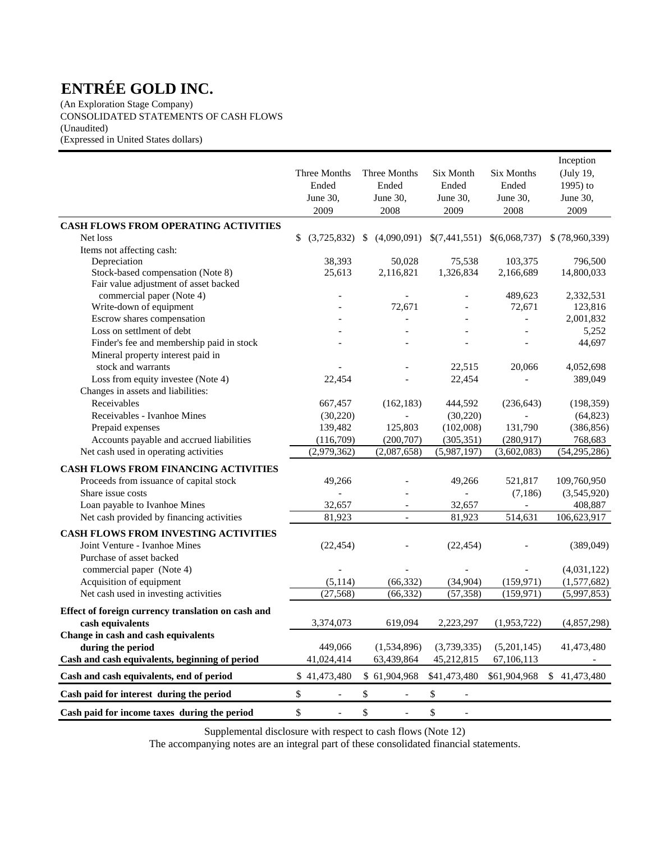(An Exploration Stage Company) CONSOLIDATED STATEMENTS OF CASH FLOWS (Unaudited) (Expressed in United States dollars)

|                                                      | Three Months<br>Ended<br>June 30,<br>2009 | Three Months<br>Ended<br>June 30,<br>2008 | Six Month<br>Ended<br>June 30,<br>2009        | Six Months<br>Ended<br>June 30,<br>2008 | Inception<br>(July 19,<br>1995) to<br>June 30,<br>2009 |
|------------------------------------------------------|-------------------------------------------|-------------------------------------------|-----------------------------------------------|-----------------------------------------|--------------------------------------------------------|
| <b>CASH FLOWS FROM OPERATING ACTIVITIES</b>          |                                           |                                           |                                               |                                         |                                                        |
| Net loss                                             | \$<br>(3,725,832)                         | (4,090,091)<br>S                          | \$(7,441,551)                                 | \$(6,068,737)                           | $$$ (78,960,339)                                       |
| Items not affecting cash:                            |                                           |                                           |                                               |                                         |                                                        |
| Depreciation                                         | 38,393                                    | 50,028                                    | 75,538                                        | 103,375                                 | 796,500                                                |
| Stock-based compensation (Note 8)                    | 25,613                                    | 2,116,821                                 | 1,326,834                                     | 2,166,689                               | 14,800,033                                             |
| Fair value adjustment of asset backed                |                                           |                                           |                                               |                                         |                                                        |
| commercial paper (Note 4)<br>Write-down of equipment |                                           | 72,671                                    |                                               | 489,623<br>72,671                       | 2,332,531<br>123,816                                   |
| Escrow shares compensation                           |                                           |                                           |                                               | $\overline{a}$                          | 2,001,832                                              |
| Loss on settlment of debt                            |                                           |                                           |                                               |                                         | 5,252                                                  |
| Finder's fee and membership paid in stock            |                                           |                                           |                                               |                                         | 44,697                                                 |
| Mineral property interest paid in                    |                                           |                                           |                                               |                                         |                                                        |
| stock and warrants                                   |                                           |                                           | 22,515                                        | 20,066                                  | 4,052,698                                              |
| Loss from equity investee (Note 4)                   | 22,454                                    |                                           | 22,454                                        |                                         | 389,049                                                |
| Changes in assets and liabilities:                   |                                           |                                           |                                               |                                         |                                                        |
| Receivables                                          | 667,457                                   | (162, 183)                                | 444,592                                       | (236, 643)                              | (198, 359)                                             |
| Receivables - Ivanhoe Mines                          | (30,220)                                  |                                           | (30,220)                                      |                                         | (64, 823)                                              |
| Prepaid expenses                                     | 139,482                                   | 125,803                                   | (102,008)                                     | 131,790                                 | (386, 856)                                             |
| Accounts payable and accrued liabilities             | (116,709)                                 | (200, 707)                                | (305, 351)                                    | (280,917)                               | 768,683                                                |
| Net cash used in operating activities                | (2,979,362)                               | (2,087,658)                               | (5,987,197)                                   | (3,602,083)                             | (54, 295, 286)                                         |
| CASH FLOWS FROM FINANCING ACTIVITIES                 |                                           |                                           |                                               |                                         |                                                        |
| Proceeds from issuance of capital stock              | 49,266                                    |                                           | 49,266                                        | 521,817                                 | 109,760,950                                            |
| Share issue costs                                    |                                           |                                           |                                               | (7,186)                                 | (3,545,920)                                            |
| Loan payable to Ivanhoe Mines                        | 32,657                                    |                                           | 32,657                                        |                                         | 408,887                                                |
| Net cash provided by financing activities            | 81,923                                    | $\overline{\phantom{0}}$                  | 81,923                                        | 514,631                                 | 106,623,917                                            |
| <b>CASH FLOWS FROM INVESTING ACTIVITIES</b>          |                                           |                                           |                                               |                                         |                                                        |
| Joint Venture - Ivanhoe Mines                        | (22, 454)                                 |                                           | (22, 454)                                     |                                         | (389, 049)                                             |
| Purchase of asset backed                             |                                           |                                           |                                               |                                         |                                                        |
| commercial paper (Note 4)                            |                                           |                                           |                                               |                                         | (4,031,122)                                            |
| Acquisition of equipment                             | (5, 114)                                  | (66, 332)                                 | (34, 904)                                     | (159, 971)                              | (1,577,682)                                            |
| Net cash used in investing activities                | (27, 568)                                 | (66, 332)                                 | (57, 358)                                     | (159, 971)                              | (5,997,853)                                            |
| Effect of foreign currency translation on cash and   |                                           |                                           |                                               |                                         |                                                        |
| cash equivalents                                     | 3,374,073                                 | 619,094                                   | 2,223,297                                     | (1,953,722)                             | (4, 857, 298)                                          |
| Change in cash and cash equivalents                  |                                           |                                           |                                               |                                         |                                                        |
| during the period                                    | 449,066                                   | (1,534,896)                               | (3,739,335)                                   | (5,201,145)                             | 41,473,480                                             |
| Cash and cash equivalents, beginning of period       | 41,024,414                                | 63,439,864                                | 45,212,815                                    | 67,106,113                              |                                                        |
| Cash and cash equivalents, end of period             | \$41,473,480                              | \$61,904,968                              | \$41,473,480                                  | \$61,904,968                            | \$41,473,480                                           |
| Cash paid for interest during the period             | \$<br>$\overline{\phantom{a}}$            | \$<br>$\overline{\phantom{a}}$            | $\boldsymbol{\$}$<br>$\overline{\phantom{a}}$ |                                         |                                                        |
| Cash paid for income taxes during the period         | \$<br>$\overline{\phantom{a}}$            | \$<br>$\overline{\phantom{a}}$            | \$                                            |                                         |                                                        |

Supplemental disclosure with respect to cash flows (Note 12)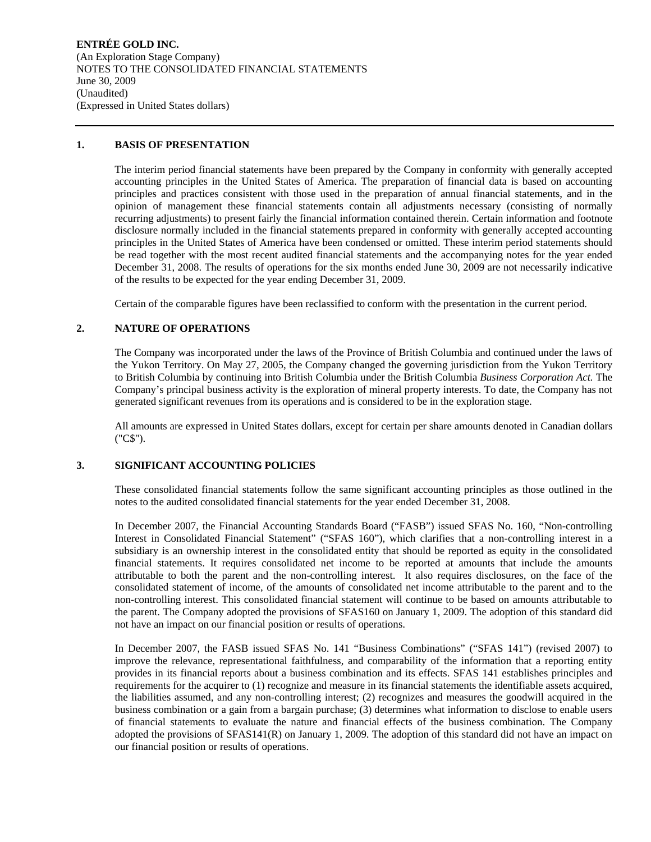**ENTRÉE GOLD INC.**  (An Exploration Stage Company) NOTES TO THE CONSOLIDATED FINANCIAL STATEMENTS June 30, 2009 (Unaudited) (Expressed in United States dollars)

## **1. BASIS OF PRESENTATION**

The interim period financial statements have been prepared by the Company in conformity with generally accepted accounting principles in the United States of America. The preparation of financial data is based on accounting principles and practices consistent with those used in the preparation of annual financial statements, and in the opinion of management these financial statements contain all adjustments necessary (consisting of normally recurring adjustments) to present fairly the financial information contained therein. Certain information and footnote disclosure normally included in the financial statements prepared in conformity with generally accepted accounting principles in the United States of America have been condensed or omitted. These interim period statements should be read together with the most recent audited financial statements and the accompanying notes for the year ended December 31, 2008. The results of operations for the six months ended June 30, 2009 are not necessarily indicative of the results to be expected for the year ending December 31, 2009.

Certain of the comparable figures have been reclassified to conform with the presentation in the current period.

# **2. NATURE OF OPERATIONS**

The Company was incorporated under the laws of the Province of British Columbia and continued under the laws of the Yukon Territory. On May 27, 2005, the Company changed the governing jurisdiction from the Yukon Territory to British Columbia by continuing into British Columbia under the British Columbia *Business Corporation Act.* The Company's principal business activity is the exploration of mineral property interests. To date, the Company has not generated significant revenues from its operations and is considered to be in the exploration stage.

All amounts are expressed in United States dollars, except for certain per share amounts denoted in Canadian dollars ("C\$").

# **3. SIGNIFICANT ACCOUNTING POLICIES**

These consolidated financial statements follow the same significant accounting principles as those outlined in the notes to the audited consolidated financial statements for the year ended December 31, 2008.

In December 2007, the Financial Accounting Standards Board ("FASB") issued SFAS No. 160, "Non-controlling Interest in Consolidated Financial Statement" ("SFAS 160"), which clarifies that a non-controlling interest in a subsidiary is an ownership interest in the consolidated entity that should be reported as equity in the consolidated financial statements. It requires consolidated net income to be reported at amounts that include the amounts attributable to both the parent and the non-controlling interest. It also requires disclosures, on the face of the consolidated statement of income, of the amounts of consolidated net income attributable to the parent and to the non-controlling interest. This consolidated financial statement will continue to be based on amounts attributable to the parent. The Company adopted the provisions of SFAS160 on January 1, 2009. The adoption of this standard did not have an impact on our financial position or results of operations.

In December 2007, the FASB issued SFAS No. 141 "Business Combinations" ("SFAS 141") (revised 2007) to improve the relevance, representational faithfulness, and comparability of the information that a reporting entity provides in its financial reports about a business combination and its effects. SFAS 141 establishes principles and requirements for the acquirer to (1) recognize and measure in its financial statements the identifiable assets acquired, the liabilities assumed, and any non-controlling interest; (2) recognizes and measures the goodwill acquired in the business combination or a gain from a bargain purchase; (3) determines what information to disclose to enable users of financial statements to evaluate the nature and financial effects of the business combination. The Company adopted the provisions of SFAS141(R) on January 1, 2009. The adoption of this standard did not have an impact on our financial position or results of operations.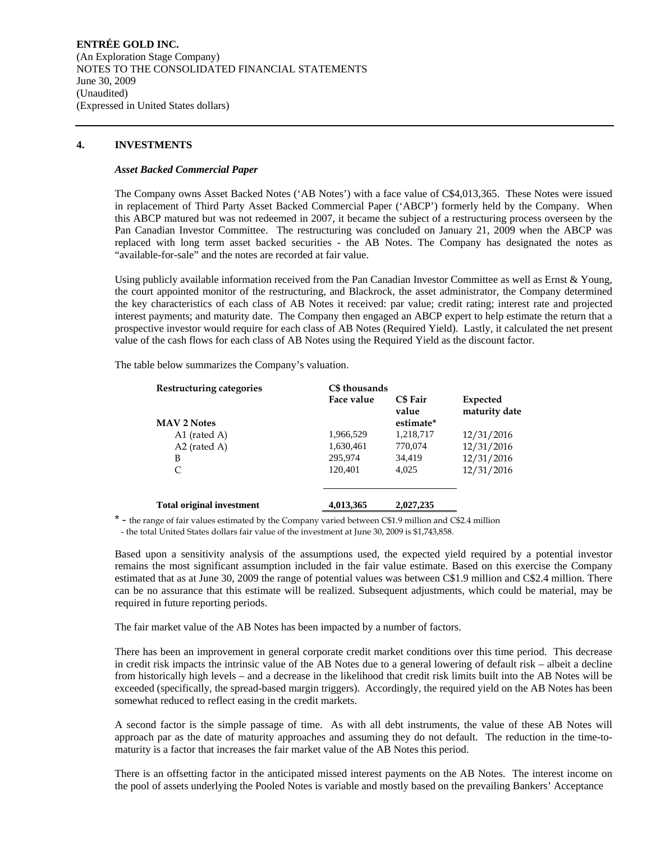**ENTRÉE GOLD INC.**  (An Exploration Stage Company) NOTES TO THE CONSOLIDATED FINANCIAL STATEMENTS June 30, 2009 (Unaudited) (Expressed in United States dollars)

## **4. INVESTMENTS**

### *Asset Backed Commercial Paper*

The Company owns Asset Backed Notes ('AB Notes') with a face value of C\$4,013,365. These Notes were issued in replacement of Third Party Asset Backed Commercial Paper ('ABCP') formerly held by the Company. When this ABCP matured but was not redeemed in 2007, it became the subject of a restructuring process overseen by the Pan Canadian Investor Committee. The restructuring was concluded on January 21, 2009 when the ABCP was replaced with long term asset backed securities - the AB Notes. The Company has designated the notes as "available-for-sale" and the notes are recorded at fair value.

Using publicly available information received from the Pan Canadian Investor Committee as well as Ernst & Young, the court appointed monitor of the restructuring, and Blackrock, the asset administrator, the Company determined the key characteristics of each class of AB Notes it received: par value; credit rating; interest rate and projected interest payments; and maturity date. The Company then engaged an ABCP expert to help estimate the return that a prospective investor would require for each class of AB Notes (Required Yield). Lastly, it calculated the net present value of the cash flows for each class of AB Notes using the Required Yield as the discount factor.

The table below summarizes the Company's valuation.

| Restructuring categories         | C\$ thousands |                          |                           |
|----------------------------------|---------------|--------------------------|---------------------------|
|                                  | Face value    | <b>C\$</b> Fair<br>value | Expected<br>maturity date |
| <b>MAV 2 Notes</b>               |               | estimate*                |                           |
| A1 (rated A)                     | 1,966,529     | 1,218,717                | 12/31/2016                |
| $A2$ (rated A)                   | 1,630,461     | 770,074                  | 12/31/2016                |
| B                                | 295,974       | 34,419                   | 12/31/2016                |
| C                                | 120.401       | 4.025                    | 12/31/2016                |
| <b>Total original investment</b> | 4,013,365     | 2,027,235                |                           |

\* - the range of fair values estimated by the Company varied between C\$1.9 million and C\$2.4 million

- the total United States dollars fair value of the investment at June 30, 2009 is \$1,743,858.

Based upon a sensitivity analysis of the assumptions used, the expected yield required by a potential investor remains the most significant assumption included in the fair value estimate. Based on this exercise the Company estimated that as at June 30, 2009 the range of potential values was between C\$1.9 million and C\$2.4 million. There can be no assurance that this estimate will be realized. Subsequent adjustments, which could be material, may be required in future reporting periods.

The fair market value of the AB Notes has been impacted by a number of factors.

There has been an improvement in general corporate credit market conditions over this time period. This decrease in credit risk impacts the intrinsic value of the AB Notes due to a general lowering of default risk – albeit a decline from historically high levels – and a decrease in the likelihood that credit risk limits built into the AB Notes will be exceeded (specifically, the spread-based margin triggers). Accordingly, the required yield on the AB Notes has been somewhat reduced to reflect easing in the credit markets.

A second factor is the simple passage of time. As with all debt instruments, the value of these AB Notes will approach par as the date of maturity approaches and assuming they do not default. The reduction in the time-tomaturity is a factor that increases the fair market value of the AB Notes this period.

There is an offsetting factor in the anticipated missed interest payments on the AB Notes. The interest income on the pool of assets underlying the Pooled Notes is variable and mostly based on the prevailing Bankers' Acceptance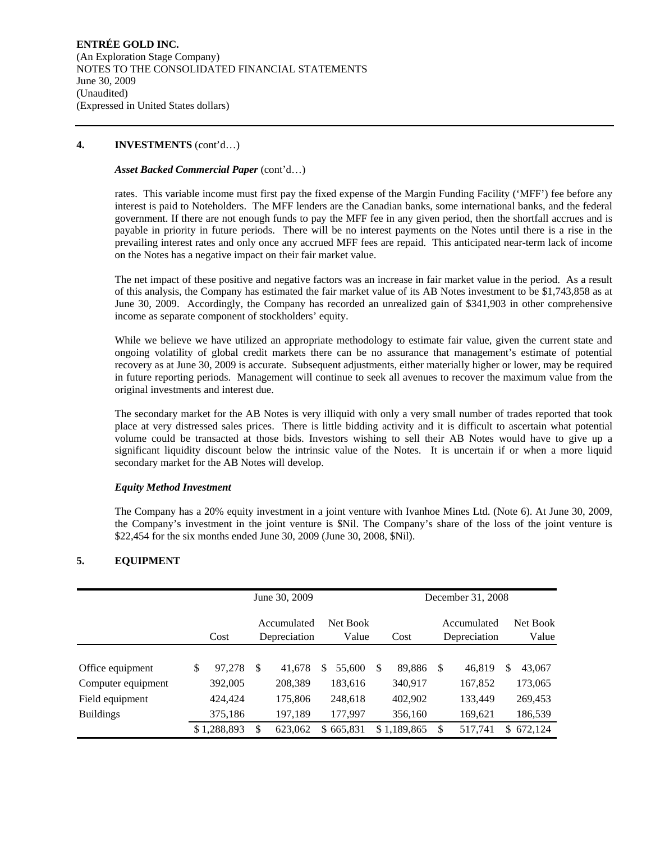## **4. INVESTMENTS** (cont'd…)

## *Asset Backed Commercial Paper* (cont'd…)

rates. This variable income must first pay the fixed expense of the Margin Funding Facility ('MFF') fee before any interest is paid to Noteholders. The MFF lenders are the Canadian banks, some international banks, and the federal government. If there are not enough funds to pay the MFF fee in any given period, then the shortfall accrues and is payable in priority in future periods. There will be no interest payments on the Notes until there is a rise in the prevailing interest rates and only once any accrued MFF fees are repaid. This anticipated near-term lack of income on the Notes has a negative impact on their fair market value.

The net impact of these positive and negative factors was an increase in fair market value in the period. As a result of this analysis, the Company has estimated the fair market value of its AB Notes investment to be \$1,743,858 as at June 30, 2009. Accordingly, the Company has recorded an unrealized gain of \$341,903 in other comprehensive income as separate component of stockholders' equity.

While we believe we have utilized an appropriate methodology to estimate fair value, given the current state and ongoing volatility of global credit markets there can be no assurance that management's estimate of potential recovery as at June 30, 2009 is accurate. Subsequent adjustments, either materially higher or lower, may be required in future reporting periods. Management will continue to seek all avenues to recover the maximum value from the original investments and interest due.

The secondary market for the AB Notes is very illiquid with only a very small number of trades reported that took place at very distressed sales prices. There is little bidding activity and it is difficult to ascertain what potential volume could be transacted at those bids. Investors wishing to sell their AB Notes would have to give up a significant liquidity discount below the intrinsic value of the Notes. It is uncertain if or when a more liquid secondary market for the AB Notes will develop.

# *Equity Method Investment*

The Company has a 20% equity investment in a joint venture with Ivanhoe Mines Ltd. (Note 6). At June 30, 2009, the Company's investment in the joint venture is \$Nil. The Company's share of the loss of the joint venture is \$22,454 for the six months ended June 30, 2009 (June 30, 2008, \$Nil).

# **5. EQUIPMENT**

|                                                           |                               | June 30, 2009                 |   |                               | December 31, 2008 |                                     |    |                               |                   |                               |  |
|-----------------------------------------------------------|-------------------------------|-------------------------------|---|-------------------------------|-------------------|-------------------------------------|----|-------------------------------|-------------------|-------------------------------|--|
|                                                           | Cost                          | Accumulated<br>Depreciation   |   | Net Book<br>Value             |                   | Accumulated<br>Depreciation<br>Cost |    |                               | Net Book<br>Value |                               |  |
| Office equipment                                          | \$<br>97,278                  | \$<br>41,678                  | S | 55,600                        | -S                | 89,886                              | S  | 46,819                        | \$                | 43,067                        |  |
| Computer equipment<br>Field equipment<br><b>Buildings</b> | 392,005<br>424,424<br>375,186 | 208,389<br>175,806<br>197,189 |   | 183,616<br>248,618<br>177,997 |                   | 340,917<br>402,902<br>356,160       |    | 167,852<br>133,449<br>169,621 |                   | 173,065<br>269,453<br>186,539 |  |
|                                                           | \$1,288,893                   | \$<br>623,062                 |   | \$665,831                     |                   | \$1,189,865                         | \$ | 517,741                       | \$.               | 672,124                       |  |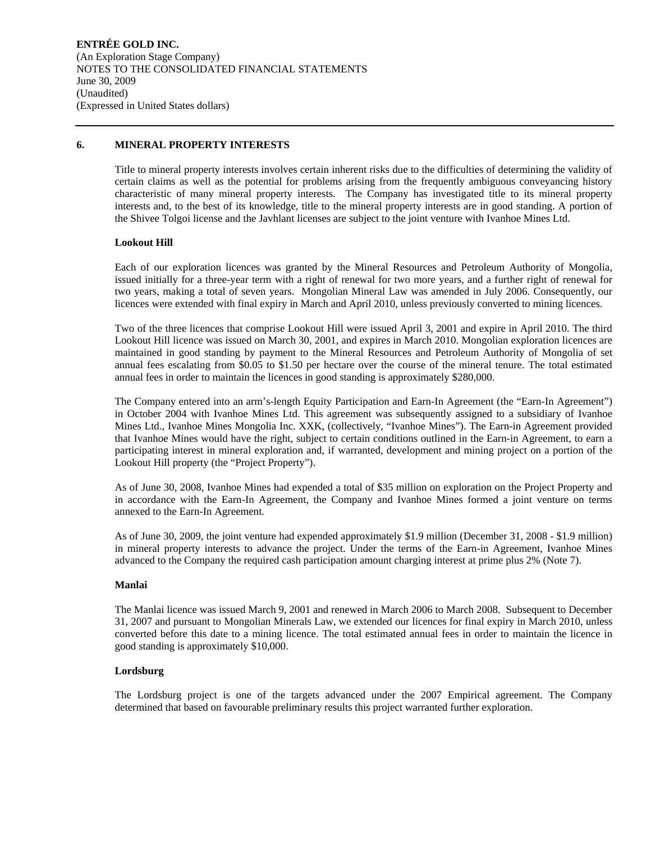## **6. MINERAL PROPERTY INTERESTS**

Title to mineral property interests involves certain inherent risks due to the difficulties of determining the validity of certain claims as well as the potential for problems arising from the frequently ambiguous conveyancing history characteristic of many mineral property interests. The Company has investigated title to its mineral property interests and, to the best of its knowledge, title to the mineral property interests are in good standing. A portion of the Shivee Tolgoi license and the Javhlant licenses are subject to the joint venture with Ivanhoe Mines Ltd.

### **Lookout Hill**

Each of our exploration licences was granted by the Mineral Resources and Petroleum Authority of Mongolia, issued initially for a three-year term with a right of renewal for two more years, and a further right of renewal for two years, making a total of seven years. Mongolian Mineral Law was amended in July 2006. Consequently, our licences were extended with final expiry in March and April 2010, unless previously converted to mining licences.

Two of the three licences that comprise Lookout Hill were issued April 3, 2001 and expire in April 2010. The third Lookout Hill licence was issued on March 30, 2001, and expires in March 2010. Mongolian exploration licences are maintained in good standing by payment to the Mineral Resources and Petroleum Authority of Mongolia of set annual fees escalating from \$0.05 to \$1.50 per hectare over the course of the mineral tenure. The total estimated annual fees in order to maintain the licences in good standing is approximately \$280,000.

The Company entered into an arm's-length Equity Participation and Earn-In Agreement (the "Earn-In Agreement") in October 2004 with Ivanhoe Mines Ltd. This agreement was subsequently assigned to a subsidiary of Ivanhoe Mines Ltd., Ivanhoe Mines Mongolia Inc. XXK, (collectively, "Ivanhoe Mines"). The Earn-in Agreement provided that Ivanhoe Mines would have the right, subject to certain conditions outlined in the Earn-in Agreement, to earn a participating interest in mineral exploration and, if warranted, development and mining project on a portion of the Lookout Hill property (the "Project Property").

As of June 30, 2008, Ivanhoe Mines had expended a total of \$35 million on exploration on the Project Property and in accordance with the Earn-In Agreement, the Company and Ivanhoe Mines formed a joint venture on terms annexed to the Earn-In Agreement.

As of June 30, 2009, the joint venture had expended approximately \$1.9 million (December 31, 2008 - \$1.9 million) in mineral property interests to advance the project. Under the terms of the Earn-in Agreement, Ivanhoe Mines advanced to the Company the required cash participation amount charging interest at prime plus 2% (Note 7).

### **Manlai**

The Manlai licence was issued March 9, 2001 and renewed in March 2006 to March 2008. Subsequent to December 31, 2007 and pursuant to Mongolian Minerals Law, we extended our licences for final expiry in March 2010, unless converted before this date to a mining licence. The total estimated annual fees in order to maintain the licence in good standing is approximately \$10,000.

### **Lordsburg**

The Lordsburg project is one of the targets advanced under the 2007 Empirical agreement. The Company determined that based on favourable preliminary results this project warranted further exploration.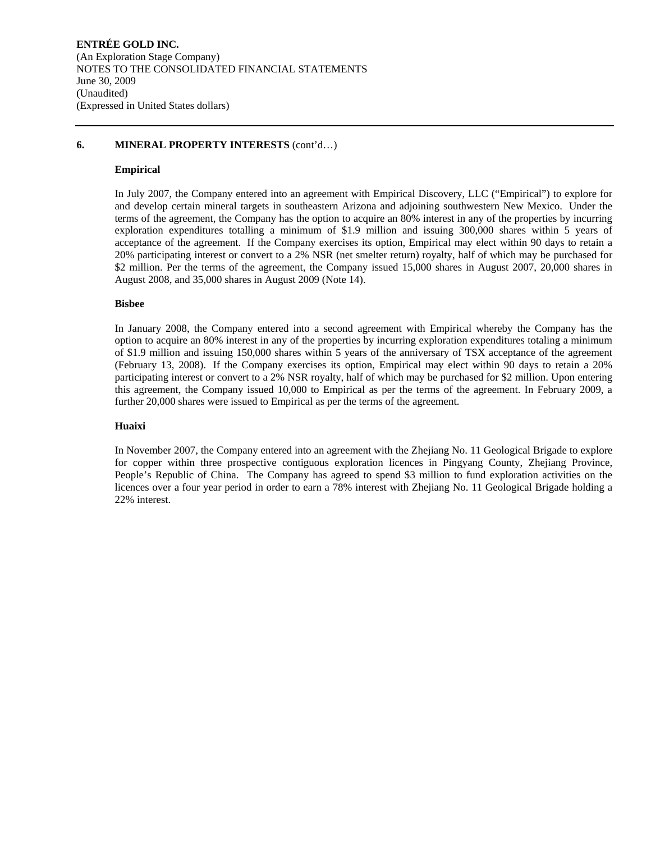## **6. MINERAL PROPERTY INTERESTS** (cont'd…)

## **Empirical**

In July 2007, the Company entered into an agreement with Empirical Discovery, LLC ("Empirical") to explore for and develop certain mineral targets in southeastern Arizona and adjoining southwestern New Mexico. Under the terms of the agreement, the Company has the option to acquire an 80% interest in any of the properties by incurring exploration expenditures totalling a minimum of \$1.9 million and issuing 300,000 shares within 5 years of acceptance of the agreement. If the Company exercises its option, Empirical may elect within 90 days to retain a 20% participating interest or convert to a 2% NSR (net smelter return) royalty, half of which may be purchased for \$2 million. Per the terms of the agreement, the Company issued 15,000 shares in August 2007, 20,000 shares in August 2008, and 35,000 shares in August 2009 (Note 14).

## **Bisbee**

In January 2008, the Company entered into a second agreement with Empirical whereby the Company has the option to acquire an 80% interest in any of the properties by incurring exploration expenditures totaling a minimum of \$1.9 million and issuing 150,000 shares within 5 years of the anniversary of TSX acceptance of the agreement (February 13, 2008). If the Company exercises its option, Empirical may elect within 90 days to retain a 20% participating interest or convert to a 2% NSR royalty, half of which may be purchased for \$2 million. Upon entering this agreement, the Company issued 10,000 to Empirical as per the terms of the agreement. In February 2009, a further 20,000 shares were issued to Empirical as per the terms of the agreement.

#### **Huaixi**

In November 2007, the Company entered into an agreement with the Zhejiang No. 11 Geological Brigade to explore for copper within three prospective contiguous exploration licences in Pingyang County, Zhejiang Province, People's Republic of China. The Company has agreed to spend \$3 million to fund exploration activities on the licences over a four year period in order to earn a 78% interest with Zhejiang No. 11 Geological Brigade holding a 22% interest.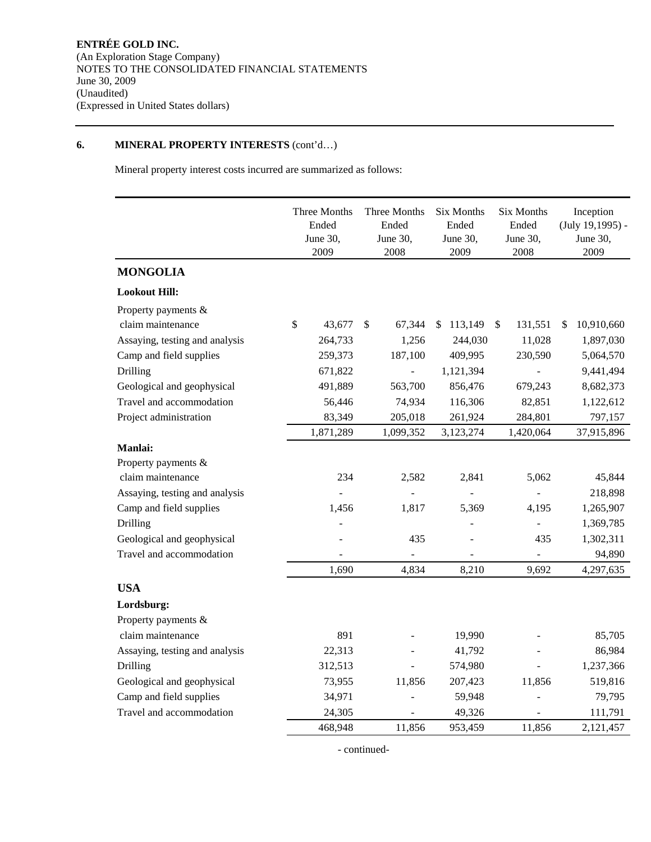# **6. MINERAL PROPERTY INTERESTS** (cont'd…)

Mineral property interest costs incurred are summarized as follows:

|                                | Three Months<br>Ended<br>June 30,<br>2009 | Three Months<br>Ended<br>June 30,<br>2008 | Six Months<br>Ended<br>June 30,<br>2009 |               | Six Months<br>Ended<br>June 30,<br>2008 |   | Inception<br>$(July 19, 1995) -$<br>June 30,<br>2009 |
|--------------------------------|-------------------------------------------|-------------------------------------------|-----------------------------------------|---------------|-----------------------------------------|---|------------------------------------------------------|
| <b>MONGOLIA</b>                |                                           |                                           |                                         |               |                                         |   |                                                      |
| <b>Lookout Hill:</b>           |                                           |                                           |                                         |               |                                         |   |                                                      |
| Property payments &            |                                           |                                           |                                         |               |                                         |   |                                                      |
| claim maintenance              | \$<br>43,677                              | \$<br>67,344                              | 113,149<br>S                            | <sup>\$</sup> | 131,551                                 | S | 10,910,660                                           |
| Assaying, testing and analysis | 264,733                                   | 1,256                                     | 244,030                                 |               | 11,028                                  |   | 1,897,030                                            |
| Camp and field supplies        | 259,373                                   | 187,100                                   | 409,995                                 |               | 230,590                                 |   | 5,064,570                                            |
| Drilling                       | 671,822                                   |                                           | 1,121,394                               |               |                                         |   | 9,441,494                                            |
| Geological and geophysical     | 491,889                                   | 563,700                                   | 856,476                                 |               | 679,243                                 |   | 8,682,373                                            |
| Travel and accommodation       | 56,446                                    | 74,934                                    | 116,306                                 |               | 82,851                                  |   | 1,122,612                                            |
| Project administration         | 83,349                                    | 205,018                                   | 261,924                                 |               | 284,801                                 |   | 797,157                                              |
|                                | 1,871,289                                 | 1,099,352                                 | 3,123,274                               |               | 1,420,064                               |   | 37,915,896                                           |
| <b>Manlai:</b>                 |                                           |                                           |                                         |               |                                         |   |                                                      |
| Property payments &            |                                           |                                           |                                         |               |                                         |   |                                                      |
| claim maintenance              | 234                                       | 2,582                                     | 2,841                                   |               | 5,062                                   |   | 45,844                                               |
| Assaying, testing and analysis |                                           |                                           |                                         |               |                                         |   | 218,898                                              |
| Camp and field supplies        | 1,456                                     | 1,817                                     | 5,369                                   |               | 4,195                                   |   | 1,265,907                                            |
| Drilling                       |                                           |                                           |                                         |               | $\overline{a}$                          |   | 1,369,785                                            |
| Geological and geophysical     |                                           | 435                                       |                                         |               | 435                                     |   | 1,302,311                                            |
| Travel and accommodation       |                                           |                                           |                                         |               |                                         |   | 94,890                                               |
|                                | 1,690                                     | 4,834                                     | 8,210                                   |               | 9,692                                   |   | 4,297,635                                            |
| <b>USA</b>                     |                                           |                                           |                                         |               |                                         |   |                                                      |
| Lordsburg:                     |                                           |                                           |                                         |               |                                         |   |                                                      |
| Property payments &            |                                           |                                           |                                         |               |                                         |   |                                                      |
| claim maintenance              | 891                                       |                                           | 19,990                                  |               |                                         |   | 85,705                                               |
| Assaying, testing and analysis | 22,313                                    |                                           | 41,792                                  |               |                                         |   | 86,984                                               |
| Drilling                       | 312,513                                   |                                           | 574,980                                 |               |                                         |   | 1,237,366                                            |
| Geological and geophysical     | 73,955                                    | 11,856                                    | 207,423                                 |               | 11,856                                  |   | 519,816                                              |
| Camp and field supplies        | 34,971                                    |                                           | 59,948                                  |               |                                         |   | 79,795                                               |
| Travel and accommodation       | 24,305                                    |                                           | 49,326                                  |               |                                         |   | 111,791                                              |
|                                | 468,948                                   | 11,856                                    | 953,459                                 |               | 11,856                                  |   | 2,121,457                                            |

- continued-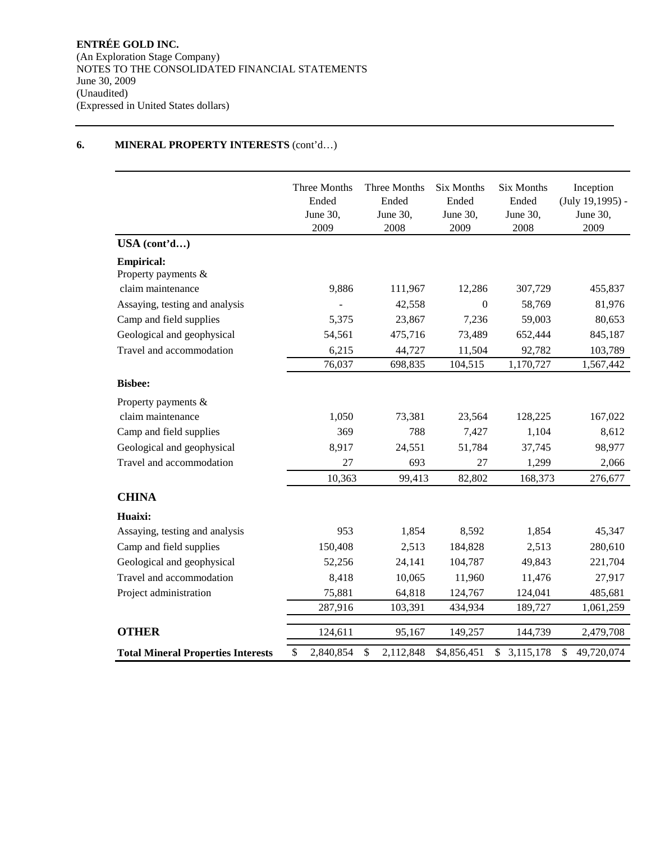# **6. MINERAL PROPERTY INTERESTS** (cont'd…)

|                                           | Three Months<br>Ended<br>June 30,<br>2009 | Three Months<br>Ended<br>June 30,<br>2008 | <b>Six Months</b><br>Ended<br>June 30,<br>2009 | <b>Six Months</b><br>Ended<br>June 30,<br>2008 | Inception<br>$(July 19, 1995) -$<br>June 30,<br>2009 |
|-------------------------------------------|-------------------------------------------|-------------------------------------------|------------------------------------------------|------------------------------------------------|------------------------------------------------------|
| USA (cont'd)                              |                                           |                                           |                                                |                                                |                                                      |
| <b>Empirical:</b><br>Property payments &  |                                           |                                           |                                                |                                                |                                                      |
| claim maintenance                         | 9,886                                     | 111,967                                   | 12,286                                         | 307,729                                        | 455,837                                              |
| Assaying, testing and analysis            |                                           | 42,558                                    | $\mathbf{0}$                                   | 58,769                                         | 81,976                                               |
| Camp and field supplies                   | 5,375                                     | 23,867                                    | 7,236                                          | 59,003                                         | 80,653                                               |
| Geological and geophysical                | 54,561                                    | 475,716                                   | 73,489                                         | 652,444                                        | 845,187                                              |
| Travel and accommodation                  | 6,215                                     | 44,727                                    | 11,504                                         | 92,782                                         | 103,789                                              |
|                                           | 76,037                                    | 698,835                                   | 104,515                                        | 1,170,727                                      | 1,567,442                                            |
| <b>Bisbee:</b>                            |                                           |                                           |                                                |                                                |                                                      |
| Property payments &                       |                                           |                                           |                                                |                                                |                                                      |
| claim maintenance                         | 1,050                                     | 73,381                                    | 23,564                                         | 128,225                                        | 167,022                                              |
| Camp and field supplies                   | 369                                       | 788                                       | 7,427                                          | 1,104                                          | 8,612                                                |
| Geological and geophysical                | 8,917                                     | 24,551                                    | 51,784                                         | 37,745                                         | 98,977                                               |
| Travel and accommodation                  | 27                                        | 693                                       | 27                                             | 1,299                                          | 2,066                                                |
|                                           | 10,363                                    | 99,413                                    | 82,802                                         | 168,373                                        | 276,677                                              |
| <b>CHINA</b>                              |                                           |                                           |                                                |                                                |                                                      |
| Huaixi:                                   |                                           |                                           |                                                |                                                |                                                      |
| Assaying, testing and analysis            | 953                                       | 1,854                                     | 8,592                                          | 1,854                                          | 45,347                                               |
| Camp and field supplies                   | 150,408                                   | 2,513                                     | 184,828                                        | 2,513                                          | 280,610                                              |
| Geological and geophysical                | 52,256                                    | 24,141                                    | 104,787                                        | 49,843                                         | 221,704                                              |
| Travel and accommodation                  | 8,418                                     | 10,065                                    | 11,960                                         | 11,476                                         | 27,917                                               |
| Project administration                    | 75,881                                    | 64,818                                    | 124,767                                        | 124,041                                        | 485,681                                              |
|                                           | 287,916                                   | 103,391                                   | 434,934                                        | 189,727                                        | 1,061,259                                            |
| <b>OTHER</b>                              |                                           |                                           |                                                |                                                |                                                      |
|                                           | 124,611                                   | 95,167                                    | 149,257                                        | 144,739                                        | 2,479,708                                            |
| <b>Total Mineral Properties Interests</b> | \$<br>2,840,854                           | \$<br>2,112,848                           | \$4,856,451                                    | 3,115,178<br>\$                                | \$<br>49,720,074                                     |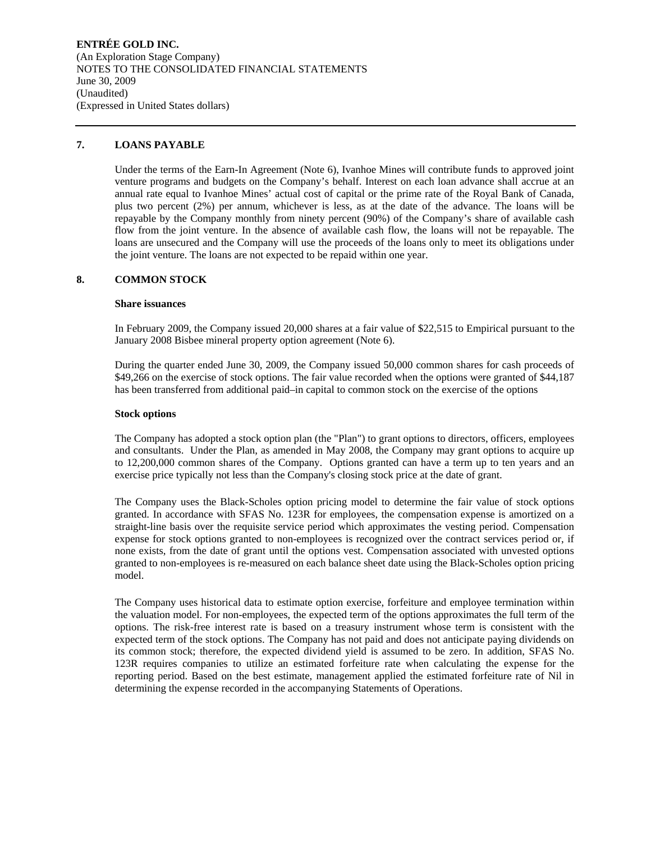**ENTRÉE GOLD INC.**  (An Exploration Stage Company) NOTES TO THE CONSOLIDATED FINANCIAL STATEMENTS June 30, 2009 (Unaudited) (Expressed in United States dollars)

## **7. LOANS PAYABLE**

Under the terms of the Earn-In Agreement (Note 6), Ivanhoe Mines will contribute funds to approved joint venture programs and budgets on the Company's behalf. Interest on each loan advance shall accrue at an annual rate equal to Ivanhoe Mines' actual cost of capital or the prime rate of the Royal Bank of Canada, plus two percent (2%) per annum, whichever is less, as at the date of the advance. The loans will be repayable by the Company monthly from ninety percent (90%) of the Company's share of available cash flow from the joint venture. In the absence of available cash flow, the loans will not be repayable. The loans are unsecured and the Company will use the proceeds of the loans only to meet its obligations under the joint venture. The loans are not expected to be repaid within one year.

## **8. COMMON STOCK**

## **Share issuances**

In February 2009, the Company issued 20,000 shares at a fair value of \$22,515 to Empirical pursuant to the January 2008 Bisbee mineral property option agreement (Note 6).

During the quarter ended June 30, 2009, the Company issued 50,000 common shares for cash proceeds of \$49,266 on the exercise of stock options. The fair value recorded when the options were granted of \$44,187 has been transferred from additional paid–in capital to common stock on the exercise of the options

#### **Stock options**

The Company has adopted a stock option plan (the "Plan") to grant options to directors, officers, employees and consultants. Under the Plan, as amended in May 2008, the Company may grant options to acquire up to 12,200,000 common shares of the Company. Options granted can have a term up to ten years and an exercise price typically not less than the Company's closing stock price at the date of grant.

The Company uses the Black-Scholes option pricing model to determine the fair value of stock options granted. In accordance with SFAS No. 123R for employees, the compensation expense is amortized on a straight-line basis over the requisite service period which approximates the vesting period. Compensation expense for stock options granted to non-employees is recognized over the contract services period or, if none exists, from the date of grant until the options vest. Compensation associated with unvested options granted to non-employees is re-measured on each balance sheet date using the Black-Scholes option pricing model.

The Company uses historical data to estimate option exercise, forfeiture and employee termination within the valuation model. For non-employees, the expected term of the options approximates the full term of the options. The risk-free interest rate is based on a treasury instrument whose term is consistent with the expected term of the stock options. The Company has not paid and does not anticipate paying dividends on its common stock; therefore, the expected dividend yield is assumed to be zero. In addition, SFAS No. 123R requires companies to utilize an estimated forfeiture rate when calculating the expense for the reporting period. Based on the best estimate, management applied the estimated forfeiture rate of Nil in determining the expense recorded in the accompanying Statements of Operations.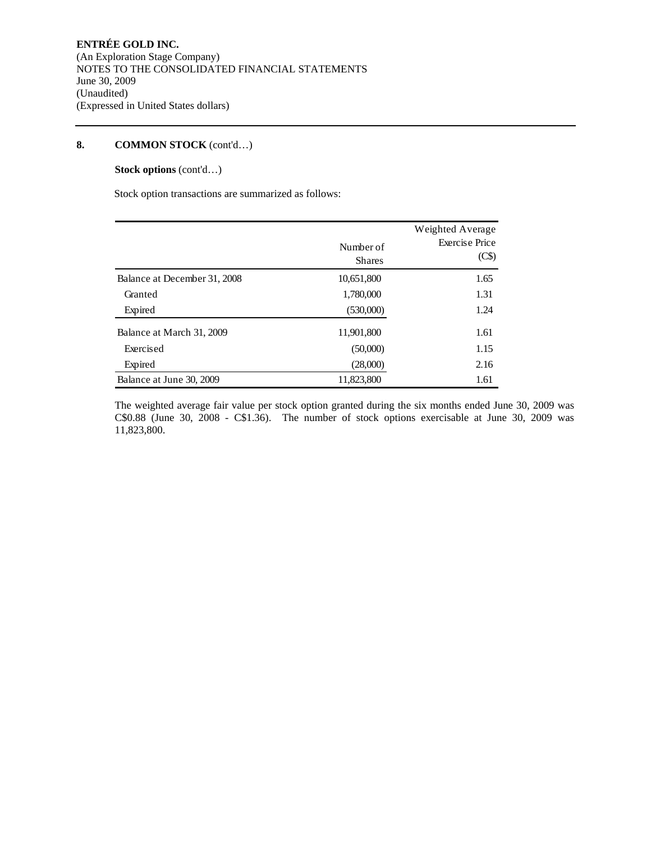# **Stock options** (cont'd…)

Stock option transactions are summarized as follows:

|                              | Number of     | Weighted Average<br><b>Exercise Price</b><br>(C\$) |
|------------------------------|---------------|----------------------------------------------------|
|                              | <b>Shares</b> |                                                    |
| Balance at December 31, 2008 | 10,651,800    | 1.65                                               |
| Granted                      | 1,780,000     | 1.31                                               |
| Expired                      | (530,000)     | 1.24                                               |
| Balance at March 31, 2009    | 11,901,800    | 1.61                                               |
| Exercised                    | (50,000)      | 1.15                                               |
| Expired                      | (28,000)      | 2.16                                               |
| Balance at June 30, 2009     | 11,823,800    | 1.61                                               |

The weighted average fair value per stock option granted during the six months ended June 30, 2009 was C\$0.88 (June 30, 2008 - C\$1.36). The number of stock options exercisable at June 30, 2009 was 11,823,800.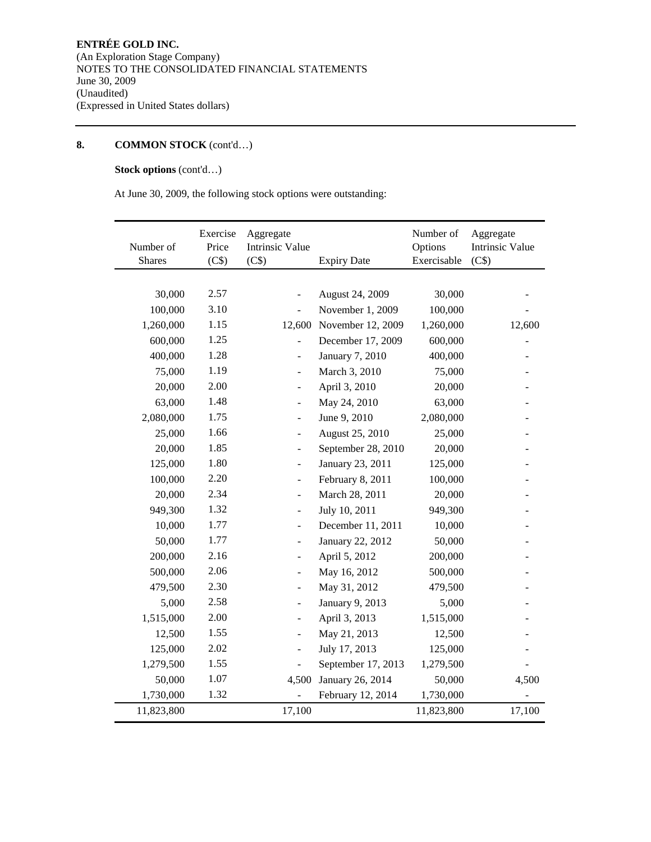# **Stock options** (cont'd…)

At June 30, 2009, the following stock options were outstanding:

| Number of  | Exercise<br>Price | Aggregate<br><b>Intrinsic Value</b> |                    | Number of<br>Options | Aggregate<br><b>Intrinsic Value</b> |
|------------|-------------------|-------------------------------------|--------------------|----------------------|-------------------------------------|
| Shares     | (C\$)             | (C\$)                               | <b>Expiry Date</b> | Exercisable          | (C\$)                               |
|            |                   |                                     |                    |                      |                                     |
| 30,000     | 2.57              |                                     | August 24, 2009    | 30,000               |                                     |
| 100,000    | 3.10              | ÷,                                  | November 1, 2009   | 100,000              |                                     |
| 1,260,000  | 1.15              | 12,600                              | November 12, 2009  | 1,260,000            | 12,600                              |
| 600,000    | 1.25              |                                     | December 17, 2009  | 600,000              |                                     |
| 400,000    | 1.28              | $\overline{\phantom{m}}$            | January 7, 2010    | 400,000              |                                     |
| 75,000     | 1.19              |                                     | March 3, 2010      | 75,000               |                                     |
| 20,000     | 2.00              |                                     | April 3, 2010      | 20,000               |                                     |
| 63,000     | 1.48              | $\overline{\phantom{a}}$            | May 24, 2010       | 63,000               |                                     |
| 2,080,000  | 1.75              | $\overline{\phantom{a}}$            | June 9, 2010       | 2,080,000            |                                     |
| 25,000     | 1.66              | $\overline{\phantom{a}}$            | August 25, 2010    | 25,000               |                                     |
| 20,000     | 1.85              | $\blacksquare$                      | September 28, 2010 | 20,000               |                                     |
| 125,000    | 1.80              | $\overline{\phantom{a}}$            | January 23, 2011   | 125,000              |                                     |
| 100,000    | 2.20              |                                     | February 8, 2011   | 100,000              |                                     |
| 20,000     | 2.34              | $\overline{a}$                      | March 28, 2011     | 20,000               |                                     |
| 949,300    | 1.32              | $\overline{\phantom{a}}$            | July 10, 2011      | 949,300              |                                     |
| 10,000     | 1.77              | $\overline{\phantom{a}}$            | December 11, 2011  | 10,000               |                                     |
| 50,000     | 1.77              | $\overline{\phantom{a}}$            | January 22, 2012   | 50,000               |                                     |
| 200,000    | 2.16              | $\overline{\phantom{a}}$            | April 5, 2012      | 200,000              |                                     |
| 500,000    | 2.06              |                                     | May 16, 2012       | 500,000              |                                     |
| 479,500    | 2.30              |                                     | May 31, 2012       | 479,500              |                                     |
| 5,000      | 2.58              | $\overline{\phantom{a}}$            | January 9, 2013    | 5,000                |                                     |
| 1,515,000  | 2.00              | $\overline{\phantom{a}}$            | April 3, 2013      | 1,515,000            |                                     |
| 12,500     | 1.55              | $\overline{\phantom{a}}$            | May 21, 2013       | 12,500               |                                     |
| 125,000    | 2.02              | $\overline{\phantom{a}}$            | July 17, 2013      | 125,000              |                                     |
| 1,279,500  | 1.55              |                                     | September 17, 2013 | 1,279,500            |                                     |
| 50,000     | 1.07              | 4,500                               | January 26, 2014   | 50,000               | 4,500                               |
| 1,730,000  | 1.32              |                                     | February 12, 2014  | 1,730,000            |                                     |
| 11,823,800 |                   | 17,100                              |                    | 11,823,800           | 17,100                              |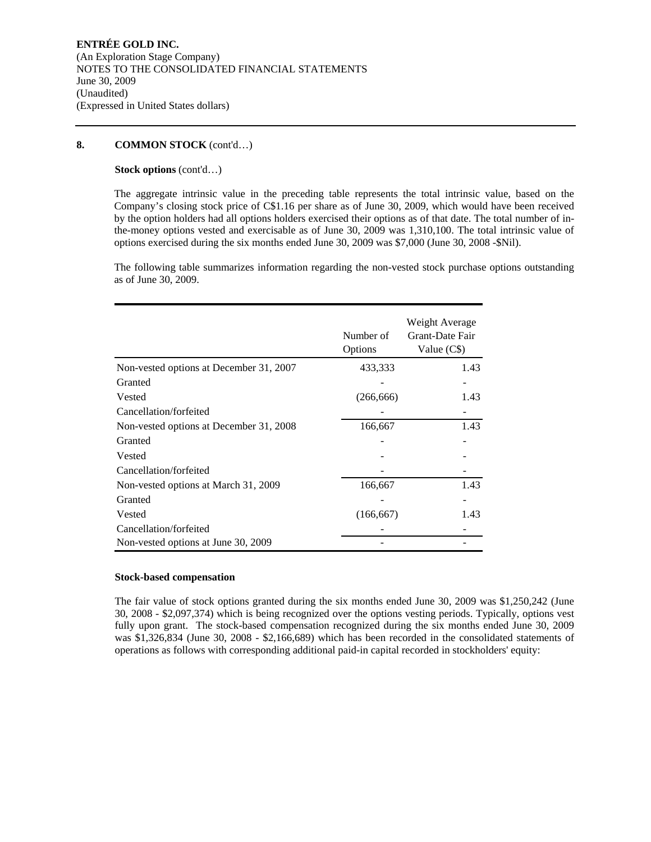## **Stock options** (cont'd…)

The aggregate intrinsic value in the preceding table represents the total intrinsic value, based on the Company's closing stock price of C\$1.16 per share as of June 30, 2009, which would have been received by the option holders had all options holders exercised their options as of that date. The total number of inthe-money options vested and exercisable as of June 30, 2009 was 1,310,100. The total intrinsic value of options exercised during the six months ended June 30, 2009 was \$7,000 (June 30, 2008 -\$Nil).

The following table summarizes information regarding the non-vested stock purchase options outstanding as of June 30, 2009.

|                                         | Number of<br>Options | Weight Average<br>Grant-Date Fair<br>Value (C\$) |
|-----------------------------------------|----------------------|--------------------------------------------------|
| Non-vested options at December 31, 2007 | 433,333              | 1.43                                             |
| Granted                                 |                      |                                                  |
| Vested                                  | (266, 666)           | 1.43                                             |
| Cancellation/forfeited                  |                      |                                                  |
| Non-vested options at December 31, 2008 | 166,667              | 1.43                                             |
| Granted                                 |                      |                                                  |
| Vested                                  |                      |                                                  |
| Cancellation/forfeited                  |                      |                                                  |
| Non-vested options at March 31, 2009    | 166,667              | 1.43                                             |
| Granted                                 |                      |                                                  |
| Vested                                  | (166, 667)           | 1.43                                             |
| Cancellation/forfeited                  |                      |                                                  |
| Non-vested options at June 30, 2009     |                      |                                                  |

### **Stock-based compensation**

The fair value of stock options granted during the six months ended June 30, 2009 was \$1,250,242 (June 30, 2008 - \$2,097,374) which is being recognized over the options vesting periods. Typically, options vest fully upon grant. The stock-based compensation recognized during the six months ended June 30, 2009 was \$1,326,834 (June 30, 2008 - \$2,166,689) which has been recorded in the consolidated statements of operations as follows with corresponding additional paid-in capital recorded in stockholders' equity: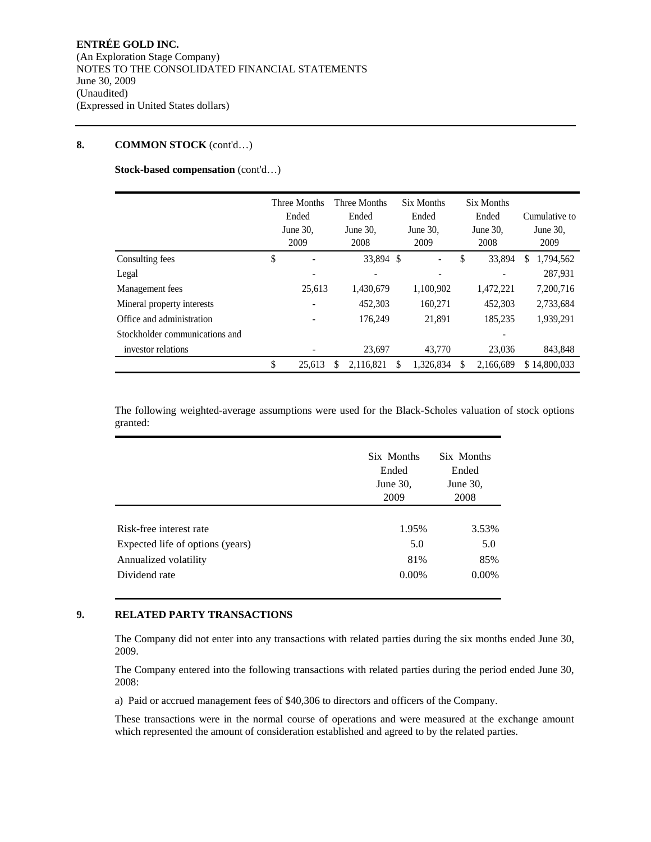**Stock-based compensation** (cont'd…)

|                                | Three Months<br>Ended<br>June 30,<br>2009 | Three Months<br>Ended<br>June 30,<br>2008 | Six Months<br>Ended<br>June $30$ .<br>2009 |    | Six Months<br>Ended<br>June 30,<br>2008 |    | Cumulative to<br>June $30$ .<br>2009 |
|--------------------------------|-------------------------------------------|-------------------------------------------|--------------------------------------------|----|-----------------------------------------|----|--------------------------------------|
| Consulting fees                | \$                                        | 33.894 \$                                 |                                            | \$ | 33,894                                  | S. | 1,794,562                            |
| Legal                          |                                           |                                           |                                            |    |                                         |    | 287.931                              |
| Management fees                | 25.613                                    | 1,430,679                                 | 1,100,902                                  |    | 1,472,221                               |    | 7,200,716                            |
| Mineral property interests     |                                           | 452,303                                   | 160,271                                    |    | 452.303                                 |    | 2,733,684                            |
| Office and administration      |                                           | 176,249                                   | 21.891                                     |    | 185,235                                 |    | 1,939,291                            |
| Stockholder communications and |                                           |                                           |                                            |    |                                         |    |                                      |
| investor relations             |                                           | 23,697                                    | 43,770                                     |    | 23,036                                  |    | 843,848                              |
|                                | \$<br>25.613                              | 2,116,821                                 | \$<br>1.326.834                            | S  | 2.166.689                               |    | \$14,800,033                         |

The following weighted-average assumptions were used for the Black-Scholes valuation of stock options granted:

|                                  | Six Months<br>Ended<br>June 30,<br>2009 | Six Months<br>Ended<br>June 30,<br>2008 |  |
|----------------------------------|-----------------------------------------|-----------------------------------------|--|
| Risk-free interest rate          | 1.95%                                   | 3.53%                                   |  |
| Expected life of options (years) | 5.0                                     | 5.0                                     |  |
| Annualized volatility            | 81%                                     | 85%                                     |  |
| Dividend rate                    | $0.00\%$                                | $0.00\%$                                |  |

# **9. RELATED PARTY TRANSACTIONS**

The Company did not enter into any transactions with related parties during the six months ended June 30, 2009.

The Company entered into the following transactions with related parties during the period ended June 30, 2008:

a) Paid or accrued management fees of \$40,306 to directors and officers of the Company.

These transactions were in the normal course of operations and were measured at the exchange amount which represented the amount of consideration established and agreed to by the related parties.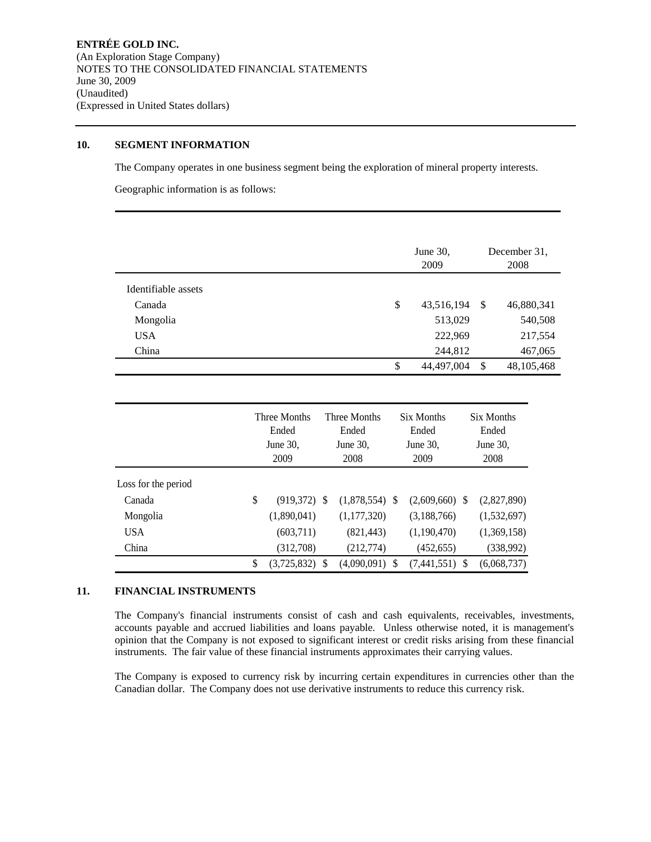## **10. SEGMENT INFORMATION**

The Company operates in one business segment being the exploration of mineral property interests.

Geographic information is as follows:

|                     |              |              | June 30,<br>2009 |               | December 31,<br>2008 |
|---------------------|--------------|--------------|------------------|---------------|----------------------|
| Identifiable assets |              |              |                  |               |                      |
| Canada              |              |              | \$<br>43,516,194 | -S            | 46,880,341           |
| Mongolia            |              |              | 513,029          |               | 540,508              |
| <b>USA</b>          |              |              | 222,969          |               | 217,554              |
| China               |              |              | 244,812          |               | 467,065              |
|                     |              |              | \$<br>44,497,004 | $\mathcal{S}$ | 48, 105, 468         |
|                     |              |              |                  |               |                      |
|                     | Three Months | Three Months | Six Months       | Six Months    |                      |

|                     |    | Three Months         |  | Three Months         |  | Six Months           |  | Six Months        |  |
|---------------------|----|----------------------|--|----------------------|--|----------------------|--|-------------------|--|
|                     |    | Ended<br>June $30$ . |  | Ended<br>June $30$ . |  | Ended<br>June $30$ . |  | Ended<br>June 30, |  |
|                     |    |                      |  |                      |  |                      |  |                   |  |
|                     |    | 2009                 |  | 2008                 |  | 2009                 |  | 2008              |  |
| Loss for the period |    |                      |  |                      |  |                      |  |                   |  |
| Canada              | \$ | $(919,372)$ \$       |  | $(1,878,554)$ \$     |  | $(2,609,660)$ \$     |  | (2,827,890)       |  |
| Mongolia            |    | (1,890,041)          |  | (1,177,320)          |  | (3,188,766)          |  | (1,532,697)       |  |
| <b>USA</b>          |    | (603,711)            |  | (821, 443)           |  | (1,190,470)          |  | (1,369,158)       |  |
| China               |    | (312,708)            |  | (212, 774)           |  | (452, 655)           |  | (338,992)         |  |
|                     | \$ | $(3,725,832)$ \$     |  | $(4,090,091)$ \$     |  | $(7,441,551)$ \$     |  | (6,068,737)       |  |

# **11. FINANCIAL INSTRUMENTS**

The Company's financial instruments consist of cash and cash equivalents, receivables, investments, accounts payable and accrued liabilities and loans payable. Unless otherwise noted, it is management's opinion that the Company is not exposed to significant interest or credit risks arising from these financial instruments. The fair value of these financial instruments approximates their carrying values.

The Company is exposed to currency risk by incurring certain expenditures in currencies other than the Canadian dollar. The Company does not use derivative instruments to reduce this currency risk.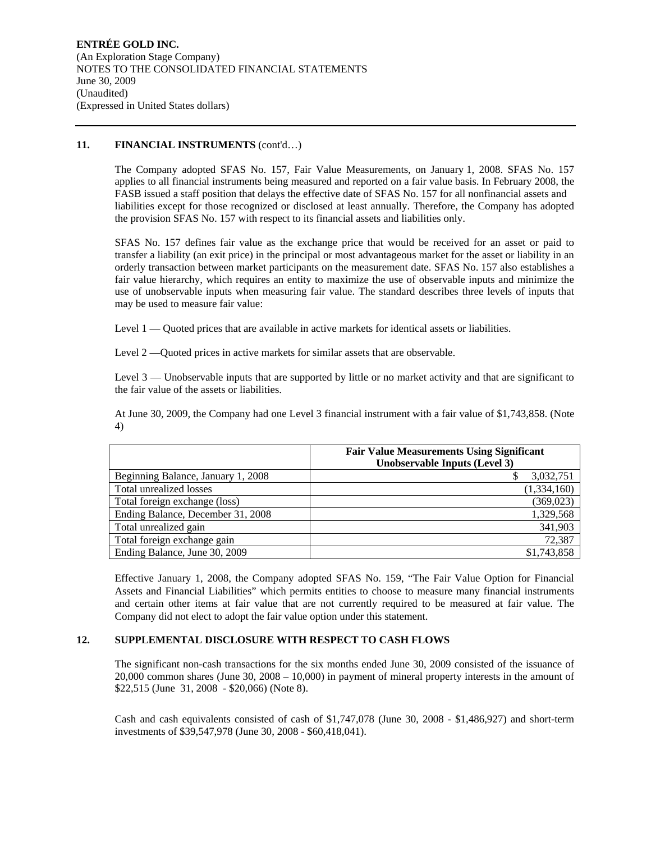# 11. **FINANCIAL INSTRUMENTS** (cont'd...)

The Company adopted SFAS No. 157, Fair Value Measurements, on January 1, 2008. SFAS No. 157 applies to all financial instruments being measured and reported on a fair value basis. In February 2008, the FASB issued a staff position that delays the effective date of SFAS No. 157 for all nonfinancial assets and liabilities except for those recognized or disclosed at least annually. Therefore, the Company has adopted the provision SFAS No. 157 with respect to its financial assets and liabilities only.

SFAS No. 157 defines fair value as the exchange price that would be received for an asset or paid to transfer a liability (an exit price) in the principal or most advantageous market for the asset or liability in an orderly transaction between market participants on the measurement date. SFAS No. 157 also establishes a fair value hierarchy, which requires an entity to maximize the use of observable inputs and minimize the use of unobservable inputs when measuring fair value. The standard describes three levels of inputs that may be used to measure fair value:

Level 1 — Quoted prices that are available in active markets for identical assets or liabilities.

Level 2 —Quoted prices in active markets for similar assets that are observable.

Level 3 — Unobservable inputs that are supported by little or no market activity and that are significant to the fair value of the assets or liabilities.

At June 30, 2009, the Company had one Level 3 financial instrument with a fair value of \$1,743,858. (Note 4)

|                                    | <b>Fair Value Measurements Using Significant</b><br><b>Unobservable Inputs (Level 3)</b> |
|------------------------------------|------------------------------------------------------------------------------------------|
| Beginning Balance, January 1, 2008 | 3,032,751                                                                                |
| Total unrealized losses            | (1,334,160)                                                                              |
| Total foreign exchange (loss)      | (369, 023)                                                                               |
| Ending Balance, December 31, 2008  | 1,329,568                                                                                |
| Total unrealized gain              | 341,903                                                                                  |
| Total foreign exchange gain        | 72,387                                                                                   |
| Ending Balance, June 30, 2009      | \$1,743,858                                                                              |

Effective January 1, 2008, the Company adopted SFAS No. 159, "The Fair Value Option for Financial Assets and Financial Liabilities" which permits entities to choose to measure many financial instruments and certain other items at fair value that are not currently required to be measured at fair value. The Company did not elect to adopt the fair value option under this statement.

# **12. SUPPLEMENTAL DISCLOSURE WITH RESPECT TO CASH FLOWS**

The significant non-cash transactions for the six months ended June 30, 2009 consisted of the issuance of 20,000 common shares (June 30, 2008 – 10,000) in payment of mineral property interests in the amount of \$22,515 (June 31, 2008 - \$20,066) (Note 8).

Cash and cash equivalents consisted of cash of \$1,747,078 (June 30, 2008 - \$1,486,927) and short-term investments of \$39,547,978 (June 30, 2008 - \$60,418,041).